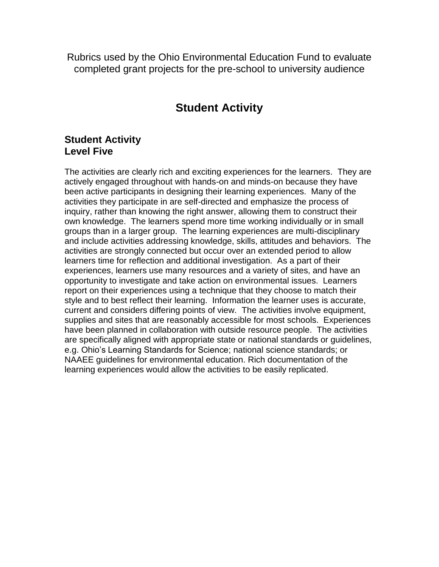Rubrics used by the Ohio Environmental Education Fund to evaluate completed grant projects for the pre-school to university audience

# **Student Activity**

#### **Student Activity Level Five**

The activities are clearly rich and exciting experiences for the learners. They are actively engaged throughout with hands-on and minds-on because they have been active participants in designing their learning experiences. Many of the activities they participate in are self-directed and emphasize the process of inquiry, rather than knowing the right answer, allowing them to construct their own knowledge. The learners spend more time working individually or in small groups than in a larger group. The learning experiences are multi-disciplinary and include activities addressing knowledge, skills, attitudes and behaviors. The activities are strongly connected but occur over an extended period to allow learners time for reflection and additional investigation. As a part of their experiences, learners use many resources and a variety of sites, and have an opportunity to investigate and take action on environmental issues. Learners report on their experiences using a technique that they choose to match their style and to best reflect their learning. Information the learner uses is accurate, current and considers differing points of view. The activities involve equipment, supplies and sites that are reasonably accessible for most schools. Experiences have been planned in collaboration with outside resource people. The activities are specifically aligned with appropriate state or national standards or guidelines, e.g. Ohio's Learning Standards for Science; national science standards; or NAAEE guidelines for environmental education. Rich documentation of the learning experiences would allow the activities to be easily replicated.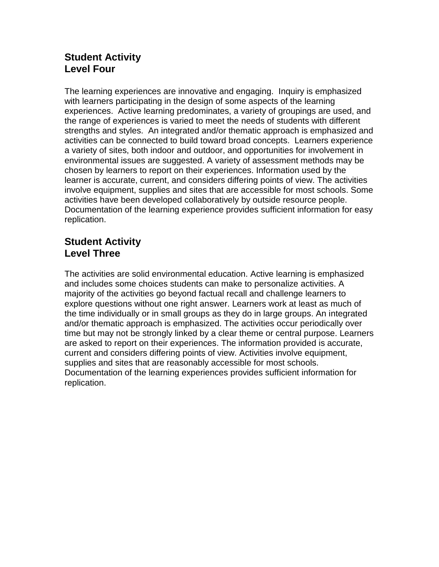## **Student Activity Level Four**

The learning experiences are innovative and engaging. Inquiry is emphasized with learners participating in the design of some aspects of the learning experiences. Active learning predominates, a variety of groupings are used, and the range of experiences is varied to meet the needs of students with different strengths and styles. An integrated and/or thematic approach is emphasized and activities can be connected to build toward broad concepts. Learners experience a variety of sites, both indoor and outdoor, and opportunities for involvement in environmental issues are suggested. A variety of assessment methods may be chosen by learners to report on their experiences. Information used by the learner is accurate, current, and considers differing points of view. The activities involve equipment, supplies and sites that are accessible for most schools. Some activities have been developed collaboratively by outside resource people. Documentation of the learning experience provides sufficient information for easy replication.

### **Student Activity Level Three**

The activities are solid environmental education. Active learning is emphasized and includes some choices students can make to personalize activities. A majority of the activities go beyond factual recall and challenge learners to explore questions without one right answer. Learners work at least as much of the time individually or in small groups as they do in large groups. An integrated and/or thematic approach is emphasized. The activities occur periodically over time but may not be strongly linked by a clear theme or central purpose. Learners are asked to report on their experiences. The information provided is accurate, current and considers differing points of view. Activities involve equipment, supplies and sites that are reasonably accessible for most schools. Documentation of the learning experiences provides sufficient information for replication.